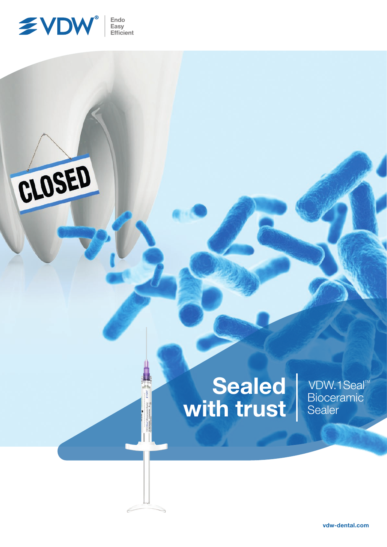



## Sealed with trust

VDW.1Seal<sup>™</sup> **Bioceramic** Sealer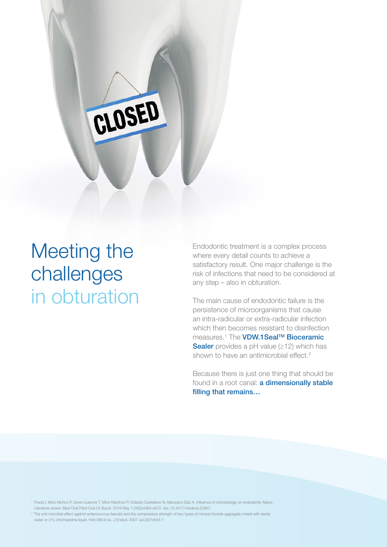## Meeting the challenges in obturation

CLOSED

Endodontic treatment is a complex process where every detail counts to achieve a satisfactory result. One major challenge is the risk of infections that need to be considered at any step – also in obturation.

The main cause of endodontic failure is the persistence of microorganisms that cause an intra-radicular or extra-radicular infection which then becomes resistant to disinfection measures.<sup>1</sup> The **VDW.1Seal™ Bioceramic** Sealer provides a pH value (≥12) which has shown to have an antimicrobial effect.<sup>2</sup>

Because there is just one thing that should be found in a root canal: **a dimensionally stable** filling that remains…

1 Prada I, Micó-Muñoz P, Giner-Lluesma T, Micó-Martínez P, Collado-Castellano N, Manzano-Saiz A. Influence of microbiology on endodontic failure. Literature review. Med Oral Patol Oral Cir Bucal. 2019 May 1;24(3):e364-e372. doi: 10.4317/medoral.22907.

 $^2$  The anti-microbial effect against enterococcus faecalis and the compressive strength of two types of mineral trioxide aggregate mixed with sterile water or 2% chlorhexidine liquid. Holt DM et al., J Endod. 2007 Jul;33(7):844-7.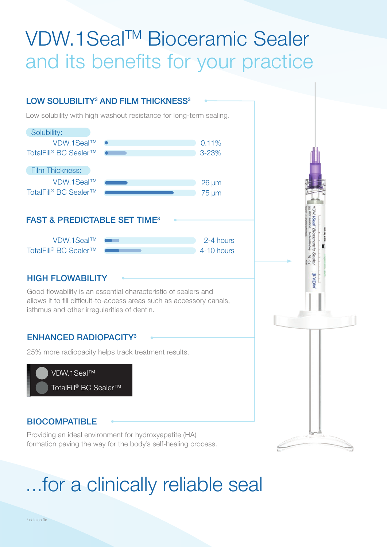## VDW.1Seal™ Bioceramic Sealer and its benefits for your practice

### LOW SOLUBILITY<sup>3</sup> AND FILM THICKNESS<sup>3</sup>

Low solubility with high washout resistance for long-term sealing.



### FAST & PREDICTABLE SET TIME3

| $VDW.1$ Seal™                     | $2-4$ hours |
|-----------------------------------|-------------|
| TotalFill® BC Sealer <sup>™</sup> | 4-10 hours  |

### HIGH FLOWABILITY

Good flowability is an essential characteristic of sealers and allows it to fill difficult-to-access areas such as accessory canals, isthmus and other irregularities of dentin.

### ENHANCED RADIOPACITY3

25% more radiopacity helps track treatment results.



### BIOCOMPATIBLE

Providing an ideal environment for hydroxyapatite (HA) formation paving the way for the body's self-healing process.

# ...for a clinically reliable seal

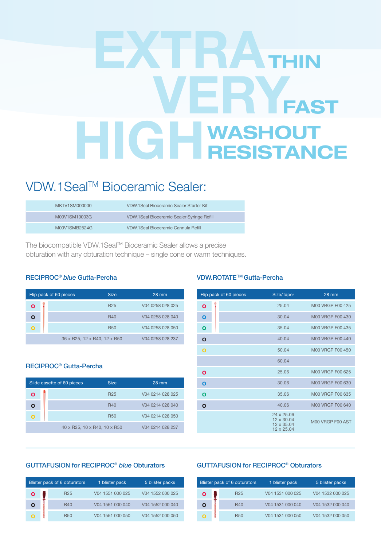### EXTRA VERY HIGH FAST IN WASHOUT RESISTANCE

### VDW.1Seal™ Bioceramic Sealer:

| MKTV1SM000000 | VDW.1Seal Bioceramic Sealer Starter Kit     |
|---------------|---------------------------------------------|
| M00V1SM10003G | VDW.1 Seal Bioceramic Sealer Syringe Refill |
| M00V1SMB2524G | VDW.1Seal Bioceramic Cannula Refill         |

The biocompatible VDW.1SealTM Bioceramic Sealer allows a precise obturation with any obturation technique – single cone or warm techniques.

#### RECIPROC® *blue* Gutta-Percha

|   | Flip pack of 60 pieces       | <b>Size</b>     | $28 \text{ mm}$  |
|---|------------------------------|-----------------|------------------|
| ω |                              | R <sub>25</sub> | V04 0258 028 025 |
|   |                              | <b>R40</b>      | V04 0258 028 040 |
|   |                              | <b>R50</b>      | V04 0258 028 050 |
|   | 36 x R25, 12 x R40, 12 x R50 |                 | V04 0258 028 237 |

#### RECIPROC® Gutta-Percha

| Slide casette of 60 pieces | <b>Size</b>                  | 28 mm            |
|----------------------------|------------------------------|------------------|
|                            | R <sub>25</sub>              | V04 0214 028 025 |
|                            | <b>R40</b>                   | V04 0214 028 040 |
|                            | <b>R50</b>                   | V04 0214 028 050 |
|                            | 40 x R25, 10 x R40, 10 x R50 | V04 0214 028 237 |

### VDW.ROTATE<sup>™</sup> Gutta-Percha

| Flip pack of 60 pieces | Size/Taper                                           | 28 mm            |
|------------------------|------------------------------------------------------|------------------|
| $\mathbf{o}$           | 25.04                                                | M00 VRGP F00 425 |
| O                      | 30.04                                                | M00 VRGP F00 430 |
| $\mathbf o$            | 35.04                                                | M00 VRGP F00 435 |
| $\mathbf{o}$           | 40.04                                                | M00 VRGP F00 440 |
| $\mathbf{o}$           | 50.04                                                | M00 VRGP F00 450 |
|                        | 60.04                                                |                  |
| Ο                      | 25.06                                                | M00 VRGP F00 625 |
| Ο                      | 30.06                                                | M00 VRGP F00 630 |
| Ο                      | 35.06                                                | M00 VRGP F00 635 |
| $\mathbf{o}$           | 40.06                                                | M00 VRGP F00 640 |
|                        | 24 x 25.06<br>12 x 30.04<br>12 x 35.04<br>12 x 25.04 | M00 VRGP F00 AST |

#### GUTTAFUSION for RECIPROC® *blue* Obturators

|  | Blister pack of 6 obturators | 1 blister pack   | 5 blister packs  |
|--|------------------------------|------------------|------------------|
|  | R <sub>25</sub>              | V04 1551 000 025 | V04 1552 000 025 |
|  | R40                          | V04 1551 000 040 | V04 1552 000 040 |
|  | <b>R50</b>                   | V04 1551 000 050 | V04 1552 000 050 |

### GUTTAFUSION for RECIPROC® Obturators

|  | Blister pack of 6 obturators | 1 blister pack   | 5 blister packs  |
|--|------------------------------|------------------|------------------|
|  | R <sub>25</sub>              | V04 1531 000 025 | V04 1532 000 025 |
|  | <b>R40</b>                   | V04 1531 000 040 | V04 1532 000 040 |
|  | <b>R50</b>                   | V04 1531 000 050 | V04 1532 000 050 |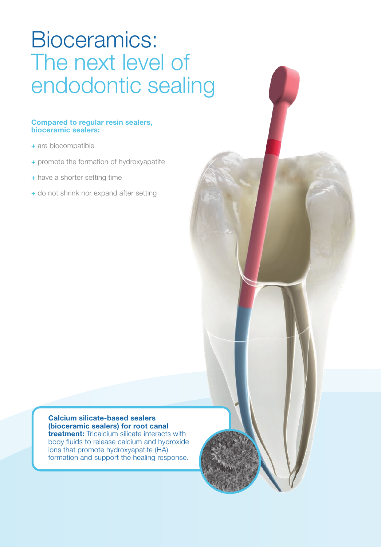## Bioceramics: The next level of endodontic sealing

### Compared to regular resin sealers, bioceramic sealers:

- + are biocompatible
- + promote the formation of hydroxyapatite
- + have a shorter setting time
- + do not shrink nor expand after setting

Calcium silicate-based sealers (bioceramic sealers) for root canal **treatment:** Tricalcium silicate interacts with body fluids to release calcium and hydroxide ions that promote hydroxyapatite (HA) formation and support the healing response.